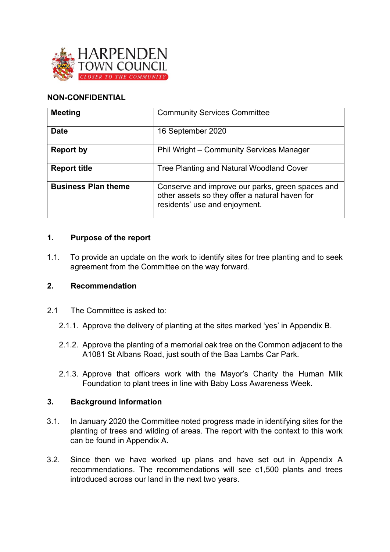

# **NON-CONFIDENTIAL**

| <b>Meeting</b>             | <b>Community Services Committee</b>                                                                                                 |
|----------------------------|-------------------------------------------------------------------------------------------------------------------------------------|
| <b>Date</b>                | 16 September 2020                                                                                                                   |
| <b>Report by</b>           | Phil Wright - Community Services Manager                                                                                            |
| <b>Report title</b>        | Tree Planting and Natural Woodland Cover                                                                                            |
| <b>Business Plan theme</b> | Conserve and improve our parks, green spaces and<br>other assets so they offer a natural haven for<br>residents' use and enjoyment. |

### **1. Purpose of the report**

1.1. To provide an update on the work to identify sites for tree planting and to seek agreement from the Committee on the way forward.

### **2. Recommendation**

- 2.1 The Committee is asked to:
	- 2.1.1. Approve the delivery of planting at the sites marked 'yes' in Appendix B.
	- 2.1.2. Approve the planting of a memorial oak tree on the Common adjacent to the A1081 St Albans Road, just south of the Baa Lambs Car Park.
	- 2.1.3. Approve that officers work with the Mayor's Charity the Human Milk Foundation to plant trees in line with Baby Loss Awareness Week.

### **3. Background information**

- 3.1. In January 2020 the Committee noted progress made in identifying sites for the planting of trees and wilding of areas. The report with the context to this work can be found in Appendix A.
- 3.2. Since then we have worked up plans and have set out in Appendix A recommendations. The recommendations will see c1,500 plants and trees introduced across our land in the next two years.